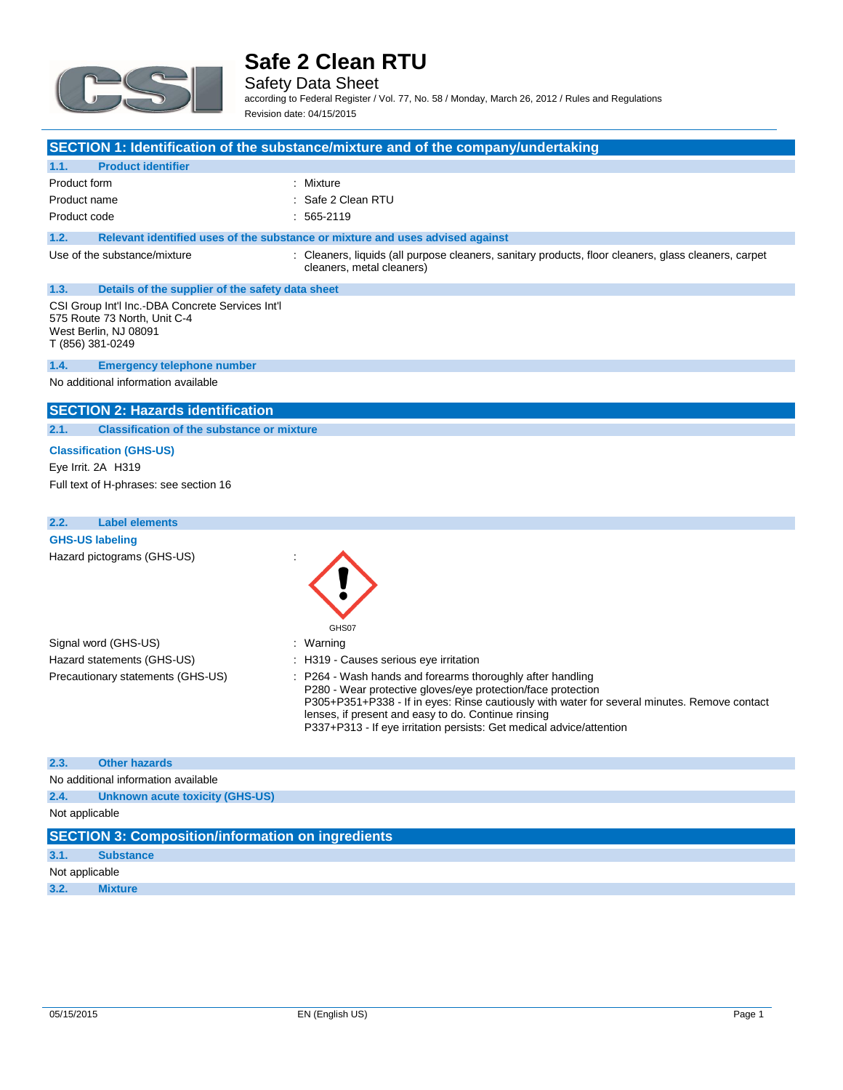

Safety Data Sheet according to Federal Register / Vol. 77, No. 58 / Monday, March 26, 2012 / Rules and Regulations

Revision date: 04/15/2015

#### **SECTION 1: Identification of the substance/mixture and of the company/undertaking**

| 1.1. | <b>Product identifier</b> |                    |
|------|---------------------------|--------------------|
|      | Product form              | : Mixture          |
|      | Product name              | : Safe 2 Clean RTU |

Product code : 565-2119

### **1.2. Relevant identified uses of the substance or mixture and uses advised against**

Use of the substance/mixture **interpretent containers** : Cleaners, liquids (all purpose cleaners, sanitary products, floor cleaners, glass cleaners, carpet cleaners, metal cleaners)

# **1.3. Details of the supplier of the safety data sheet**

CSI Group Int'l Inc.-DBA Concrete Services Int'l 575 Route 73 North, Unit C-4 West Berlin, NJ 08091 T (856) 381-0249

#### **1.4. Emergency telephone number**

No additional information available

### **SECTION 2: Hazards identification**

### **2.1. Classification of the substance or mixture**

**Classification (GHS-US)** Eye Irrit. 2A H319 Full text of H-phrases: see section 16

### **2.2. Label elements**

**GHS-US labeling** Hazard pictograms (GHS-US) :

Signal word (GHS-US) **in the state of the Signal word** (GHS-US) Hazard statements (GHS-US) : H319 - Causes serious eye irritation

- GHS07
- 
- 

Precautionary statements (GHS-US) : P264 - Wash hands and forearms thoroughly after handling P280 - Wear protective gloves/eye protection/face protection P305+P351+P338 - If in eyes: Rinse cautiously with water for several minutes. Remove contact lenses, if present and easy to do. Continue rinsing P337+P313 - If eye irritation persists: Get medical advice/attention

#### **2.3. Other hazards**

No additional information available

**2.4. Unknown acute toxicity (GHS-US)**

### Not applicable

|                | <b>SECTION 3: Composition/information on ingredients</b> |
|----------------|----------------------------------------------------------|
| 3.1.           | <b>Substance</b>                                         |
| Not applicable |                                                          |
| 3.2.           | <b>Mixture</b>                                           |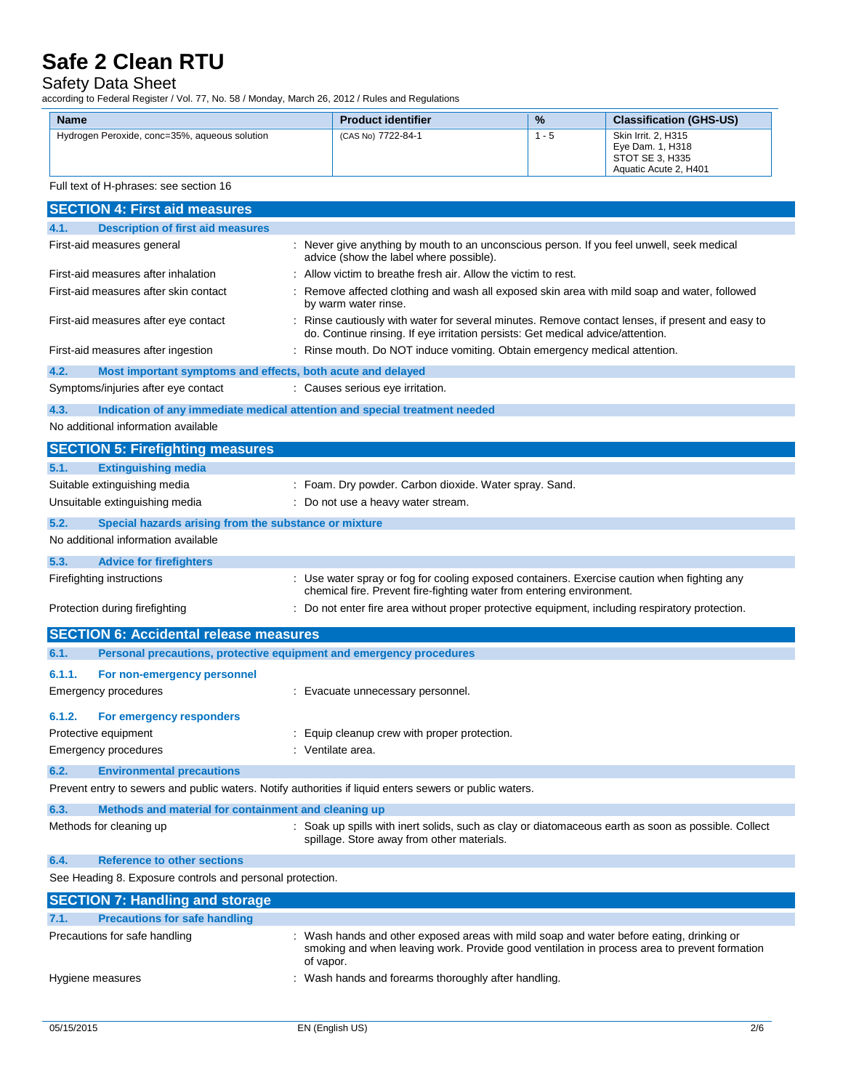### Safety Data Sheet

according to Federal Register / Vol. 77, No. 58 / Monday, March 26, 2012 / Rules and Regulations

| <b>Name</b>                                   | <b>Product identifier</b> | $\frac{9}{6}$ | <b>Classification (GHS-US)</b>                                                      |
|-----------------------------------------------|---------------------------|---------------|-------------------------------------------------------------------------------------|
| Hydrogen Peroxide, conc=35%, aqueous solution | (CAS No) 7722-84-1        | - 5           | Skin Irrit, 2, H315<br>Eve Dam. 1. H318<br>STOT SE 3, H335<br>Aquatic Acute 2. H401 |

### Full text of H-phrases: see section 16

| <b>SECTION 4: First aid measures</b>                                                                    |                                                                                                                                                                                                       |  |
|---------------------------------------------------------------------------------------------------------|-------------------------------------------------------------------------------------------------------------------------------------------------------------------------------------------------------|--|
| 4.1.<br><b>Description of first aid measures</b>                                                        |                                                                                                                                                                                                       |  |
| First-aid measures general                                                                              | : Never give anything by mouth to an unconscious person. If you feel unwell, seek medical<br>advice (show the label where possible).                                                                  |  |
| First-aid measures after inhalation                                                                     | Allow victim to breathe fresh air. Allow the victim to rest.                                                                                                                                          |  |
| First-aid measures after skin contact                                                                   | Remove affected clothing and wash all exposed skin area with mild soap and water, followed<br>by warm water rinse.                                                                                    |  |
| First-aid measures after eye contact                                                                    | : Rinse cautiously with water for several minutes. Remove contact lenses, if present and easy to<br>do. Continue rinsing. If eye irritation persists: Get medical advice/attention.                   |  |
| First-aid measures after ingestion                                                                      | : Rinse mouth. Do NOT induce vomiting. Obtain emergency medical attention.                                                                                                                            |  |
| 4.2.<br>Most important symptoms and effects, both acute and delayed                                     |                                                                                                                                                                                                       |  |
| Symptoms/injuries after eye contact                                                                     | : Causes serious eye irritation.                                                                                                                                                                      |  |
| 4.3.<br>Indication of any immediate medical attention and special treatment needed                      |                                                                                                                                                                                                       |  |
| No additional information available                                                                     |                                                                                                                                                                                                       |  |
| <b>SECTION 5: Firefighting measures</b>                                                                 |                                                                                                                                                                                                       |  |
| 5.1.<br><b>Extinguishing media</b>                                                                      |                                                                                                                                                                                                       |  |
| Suitable extinguishing media                                                                            | Foam. Dry powder. Carbon dioxide. Water spray. Sand.                                                                                                                                                  |  |
| Unsuitable extinguishing media                                                                          | : Do not use a heavy water stream.                                                                                                                                                                    |  |
| 5.2.<br>Special hazards arising from the substance or mixture                                           |                                                                                                                                                                                                       |  |
| No additional information available                                                                     |                                                                                                                                                                                                       |  |
| 5.3.<br><b>Advice for firefighters</b>                                                                  |                                                                                                                                                                                                       |  |
| Firefighting instructions                                                                               | : Use water spray or fog for cooling exposed containers. Exercise caution when fighting any                                                                                                           |  |
|                                                                                                         | chemical fire. Prevent fire-fighting water from entering environment.                                                                                                                                 |  |
| Protection during firefighting                                                                          | Do not enter fire area without proper protective equipment, including respiratory protection.                                                                                                         |  |
| <b>SECTION 6: Accidental release measures</b>                                                           |                                                                                                                                                                                                       |  |
| 6.1.<br>Personal precautions, protective equipment and emergency procedures                             |                                                                                                                                                                                                       |  |
| 6.1.1.<br>For non-emergency personnel                                                                   |                                                                                                                                                                                                       |  |
| Emergency procedures                                                                                    | : Evacuate unnecessary personnel.                                                                                                                                                                     |  |
| 6.1.2.<br>For emergency responders                                                                      |                                                                                                                                                                                                       |  |
| Protective equipment                                                                                    | Equip cleanup crew with proper protection.                                                                                                                                                            |  |
| Emergency procedures                                                                                    | : Ventilate area.                                                                                                                                                                                     |  |
| 6.2.<br><b>Environmental precautions</b>                                                                |                                                                                                                                                                                                       |  |
| Prevent entry to sewers and public waters. Notify authorities if liquid enters sewers or public waters. |                                                                                                                                                                                                       |  |
| 6.3.                                                                                                    |                                                                                                                                                                                                       |  |
| Methods and material for containment and cleaning up<br>Methods for cleaning up                         | : Soak up spills with inert solids, such as clay or diatomaceous earth as soon as possible. Collect                                                                                                   |  |
|                                                                                                         | spillage. Store away from other materials.                                                                                                                                                            |  |
| <b>Reference to other sections</b><br>6.4.                                                              |                                                                                                                                                                                                       |  |
| See Heading 8. Exposure controls and personal protection.                                               |                                                                                                                                                                                                       |  |
| <b>SECTION 7: Handling and storage</b>                                                                  |                                                                                                                                                                                                       |  |
| <b>Precautions for safe handling</b><br>7.1.                                                            |                                                                                                                                                                                                       |  |
| Precautions for safe handling                                                                           | : Wash hands and other exposed areas with mild soap and water before eating, drinking or<br>smoking and when leaving work. Provide good ventilation in process area to prevent formation<br>of vapor. |  |
| Hygiene measures                                                                                        | : Wash hands and forearms thoroughly after handling.                                                                                                                                                  |  |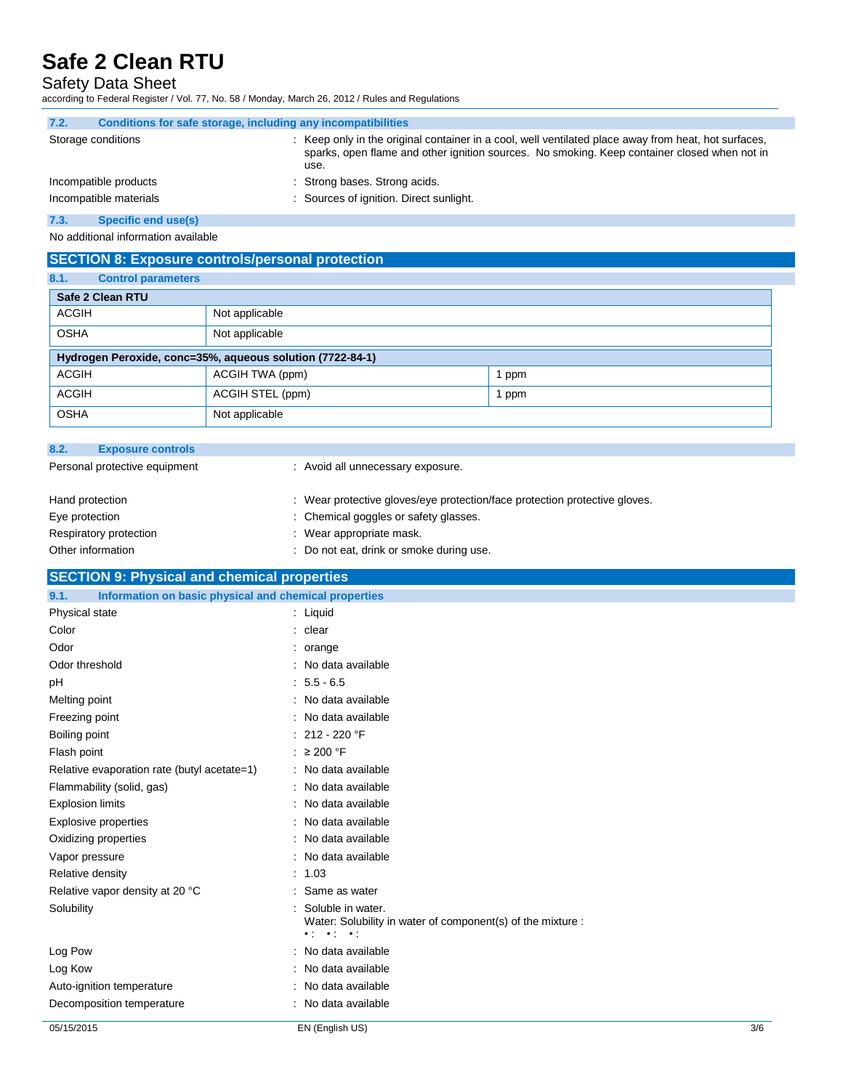# Safety Data Sheet

according to Federal Register / Vol. 77, No. 58 / Monday, March 26, 2012 / Rules and Regulations

| Conditions for safe storage, including any incompatibilities                                                                                                                                                 |  |  |  |  |
|--------------------------------------------------------------------------------------------------------------------------------------------------------------------------------------------------------------|--|--|--|--|
| : Keep only in the original container in a cool, well ventilated place away from heat, hot surfaces,<br>sparks, open flame and other ignition sources. No smoking. Keep container closed when not in<br>use. |  |  |  |  |
| : Strong bases. Strong acids.                                                                                                                                                                                |  |  |  |  |
| : Sources of ignition. Direct sunlight.                                                                                                                                                                      |  |  |  |  |
|                                                                                                                                                                                                              |  |  |  |  |

**7.3. Specific end use(s)**

No additional information available

|                                   | <b>SECTION 8: Exposure controls/personal protection</b>   |                                                                            |  |  |
|-----------------------------------|-----------------------------------------------------------|----------------------------------------------------------------------------|--|--|
| 8.1.<br><b>Control parameters</b> |                                                           |                                                                            |  |  |
| Safe 2 Clean RTU                  |                                                           |                                                                            |  |  |
| <b>ACGIH</b>                      | Not applicable                                            |                                                                            |  |  |
| <b>OSHA</b>                       | Not applicable                                            |                                                                            |  |  |
|                                   | Hydrogen Peroxide, conc=35%, aqueous solution (7722-84-1) |                                                                            |  |  |
| <b>ACGIH</b>                      | ACGIH TWA (ppm)                                           | 1 ppm                                                                      |  |  |
| <b>ACGIH</b>                      | ACGIH STEL (ppm)                                          | 1 ppm                                                                      |  |  |
| <b>OSHA</b>                       | Not applicable                                            |                                                                            |  |  |
| 8.2.<br><b>Exposure controls</b>  |                                                           |                                                                            |  |  |
| Personal protective equipment     | : Avoid all unnecessary exposure.                         |                                                                            |  |  |
| Hand protection                   |                                                           | : Wear protective gloves/eye protection/face protection protective gloves. |  |  |
| Eye protection                    | : Chemical goggles or safety glasses.                     |                                                                            |  |  |
| Respiratory protection            | Wear appropriate mask.                                    |                                                                            |  |  |
| Other information                 | : Do not eat, drink or smoke during use.                  |                                                                            |  |  |

# **SECTION 9: Physical and chemical properties**

| Information on basic physical and chemical properties<br>9.1. |                                                                                                                                       |     |
|---------------------------------------------------------------|---------------------------------------------------------------------------------------------------------------------------------------|-----|
| Physical state                                                | $:$ Liquid                                                                                                                            |     |
| Color                                                         | : clear                                                                                                                               |     |
| Odor                                                          | $:$ orange                                                                                                                            |     |
| Odor threshold                                                | : No data available                                                                                                                   |     |
| pH                                                            | $: 5.5 - 6.5$                                                                                                                         |     |
| Melting point                                                 | : No data available                                                                                                                   |     |
| Freezing point                                                | : No data available                                                                                                                   |     |
| Boiling point                                                 | $: 212 - 220$ °F                                                                                                                      |     |
| Flash point                                                   | : $\geq 200$ °F                                                                                                                       |     |
| Relative evaporation rate (butyl acetate=1)                   | : No data available                                                                                                                   |     |
| Flammability (solid, gas)                                     | : No data available                                                                                                                   |     |
| <b>Explosion limits</b>                                       | : No data available                                                                                                                   |     |
| <b>Explosive properties</b>                                   | : No data available                                                                                                                   |     |
| Oxidizing properties                                          | : No data available                                                                                                                   |     |
| Vapor pressure                                                | : No data available                                                                                                                   |     |
| Relative density                                              | : 1.03                                                                                                                                |     |
| Relative vapor density at 20 °C                               | : Same as water                                                                                                                       |     |
| Solubility                                                    | : Soluble in water.<br>Water: Solubility in water of component(s) of the mixture :<br>$\bullet$ ( $\bullet$ ) $\bullet$ ( $\bullet$ ) |     |
| Log Pow                                                       | : No data available                                                                                                                   |     |
| Log Kow                                                       | : No data available                                                                                                                   |     |
| Auto-ignition temperature                                     | : No data available                                                                                                                   |     |
| Decomposition temperature                                     | : No data available                                                                                                                   |     |
| 05/15/2015                                                    | EN (English US)                                                                                                                       | 3/6 |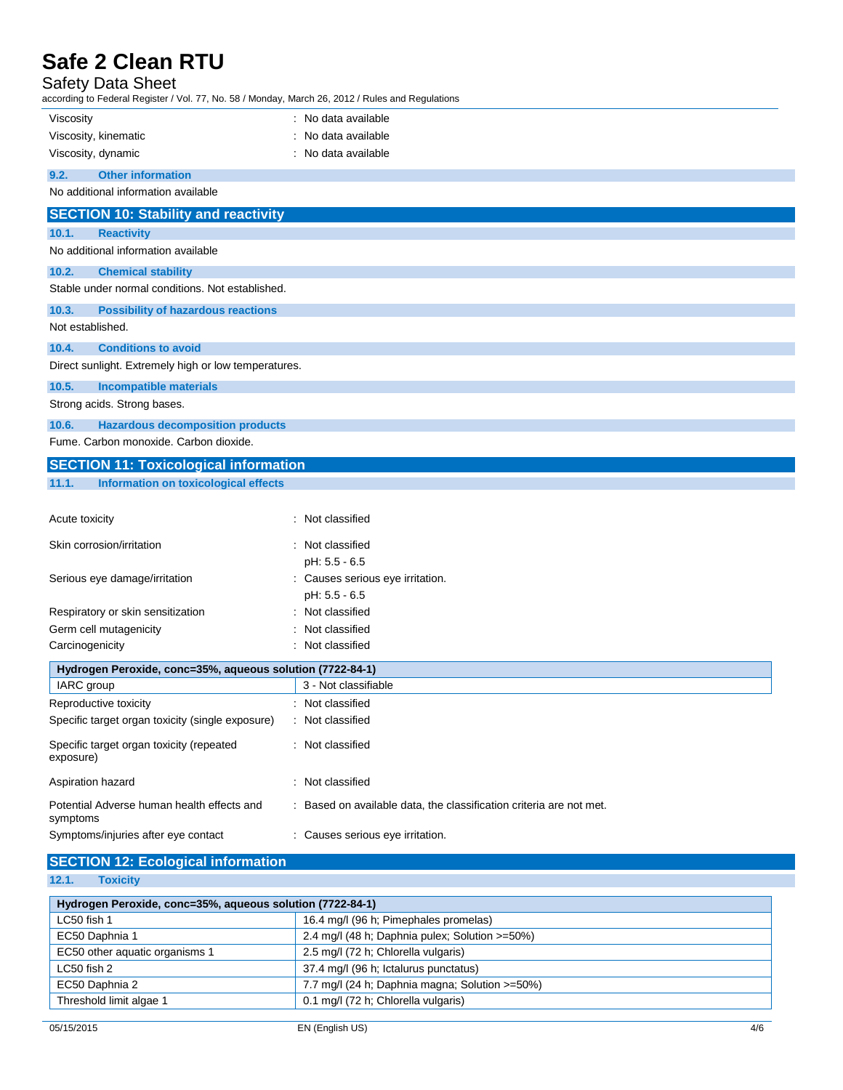| <b>Safety Data Sheet</b><br>according to Federal Register / Vol. 77, No. 58 / Monday, March 26, 2012 / Rules and Regulations |                                                                     |  |  |  |
|------------------------------------------------------------------------------------------------------------------------------|---------------------------------------------------------------------|--|--|--|
| Viscosity                                                                                                                    | : No data available                                                 |  |  |  |
| Viscosity, kinematic                                                                                                         | : No data available                                                 |  |  |  |
| Viscosity, dynamic                                                                                                           | : No data available                                                 |  |  |  |
| 9.2.<br><b>Other information</b>                                                                                             |                                                                     |  |  |  |
| No additional information available                                                                                          |                                                                     |  |  |  |
| <b>SECTION 10: Stability and reactivity</b>                                                                                  |                                                                     |  |  |  |
| 10.1.<br><b>Reactivity</b>                                                                                                   |                                                                     |  |  |  |
| No additional information available                                                                                          |                                                                     |  |  |  |
| 10.2.<br><b>Chemical stability</b>                                                                                           |                                                                     |  |  |  |
| Stable under normal conditions. Not established.                                                                             |                                                                     |  |  |  |
| 10.3.<br><b>Possibility of hazardous reactions</b>                                                                           |                                                                     |  |  |  |
| Not established.                                                                                                             |                                                                     |  |  |  |
| <b>Conditions to avoid</b><br>10.4.                                                                                          |                                                                     |  |  |  |
| Direct sunlight. Extremely high or low temperatures.                                                                         |                                                                     |  |  |  |
| 10.5.<br><b>Incompatible materials</b>                                                                                       |                                                                     |  |  |  |
| Strong acids. Strong bases.                                                                                                  |                                                                     |  |  |  |
| 10.6.<br><b>Hazardous decomposition products</b>                                                                             |                                                                     |  |  |  |
| Fume. Carbon monoxide. Carbon dioxide.                                                                                       |                                                                     |  |  |  |
| <b>SECTION 11: Toxicological information</b>                                                                                 |                                                                     |  |  |  |
| 11.1.<br><b>Information on toxicological effects</b>                                                                         |                                                                     |  |  |  |
| Acute toxicity                                                                                                               | : Not classified                                                    |  |  |  |
|                                                                                                                              |                                                                     |  |  |  |
| Skin corrosion/irritation                                                                                                    | : Not classified                                                    |  |  |  |
| Serious eye damage/irritation                                                                                                | pH: 5.5 - 6.5<br>: Causes serious eye irritation.                   |  |  |  |
|                                                                                                                              | pH: 5.5 - 6.5                                                       |  |  |  |
| Respiratory or skin sensitization                                                                                            | : Not classified                                                    |  |  |  |
| Germ cell mutagenicity                                                                                                       | Not classified                                                      |  |  |  |
| Carcinogenicity                                                                                                              | : Not classified                                                    |  |  |  |
| Hydrogen Peroxide, conc=35%, aqueous solution (7722-84-1)                                                                    |                                                                     |  |  |  |
| IARC group                                                                                                                   | 3 - Not classifiable                                                |  |  |  |
| Reproductive toxicity                                                                                                        | : Not classified                                                    |  |  |  |
| Specific target organ toxicity (single exposure)                                                                             | : Not classified                                                    |  |  |  |
| Specific target organ toxicity (repeated<br>exposure)                                                                        | : Not classified                                                    |  |  |  |
| Aspiration hazard                                                                                                            | : Not classified                                                    |  |  |  |
| Potential Adverse human health effects and<br>symptoms                                                                       | : Based on available data, the classification criteria are not met. |  |  |  |
| Symptoms/injuries after eye contact                                                                                          | : Causes serious eye irritation.                                    |  |  |  |

# **SECTION 12: Ecological information**

| 12.1. | <b>Toxicity</b> |  |
|-------|-----------------|--|
|       |                 |  |

| Hydrogen Peroxide, conc=35%, aqueous solution (7722-84-1) |                                                |  |  |
|-----------------------------------------------------------|------------------------------------------------|--|--|
| LC50 fish 1                                               | 16.4 mg/l (96 h; Pimephales promelas)          |  |  |
| EC50 Daphnia 1                                            | 2.4 mg/l (48 h; Daphnia pulex; Solution >=50%) |  |  |
| EC50 other aquatic organisms 1                            | 2.5 mg/l (72 h; Chlorella vulgaris)            |  |  |
| LC50 fish 2                                               | 37.4 mg/l (96 h; Ictalurus punctatus)          |  |  |
| EC50 Daphnia 2                                            | 7.7 mg/l (24 h; Daphnia magna; Solution >=50%) |  |  |
| Threshold limit algae 1                                   | 0.1 mg/l (72 h; Chlorella vulgaris)            |  |  |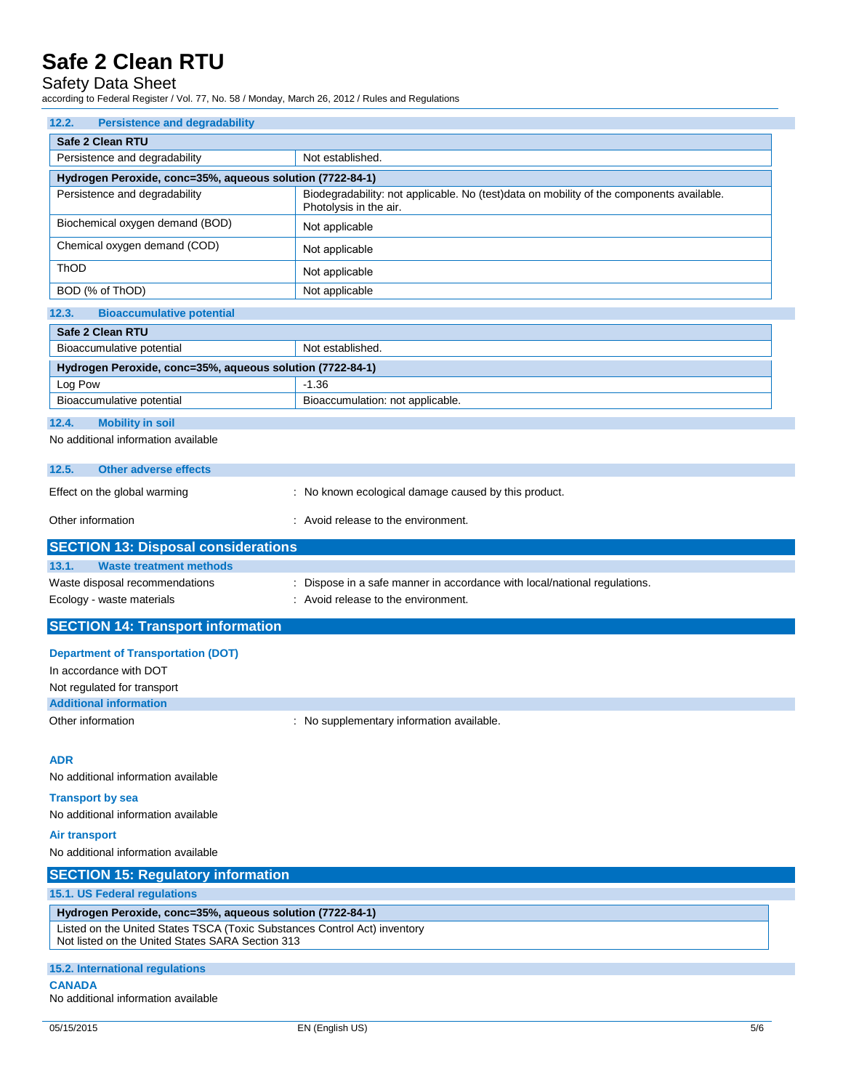## Safety Data Sheet

according to Federal Register / Vol. 77, No. 58 / Monday, March 26, 2012 / Rules and Regulations

| <b>Persistence and degradability</b><br>12.2.                                                                                                                                              |                                                                                                                    |
|--------------------------------------------------------------------------------------------------------------------------------------------------------------------------------------------|--------------------------------------------------------------------------------------------------------------------|
| <b>Safe 2 Clean RTU</b>                                                                                                                                                                    |                                                                                                                    |
| Persistence and degradability                                                                                                                                                              | Not established.                                                                                                   |
| Hydrogen Peroxide, conc=35%, aqueous solution (7722-84-1)                                                                                                                                  |                                                                                                                    |
| Persistence and degradability                                                                                                                                                              | Biodegradability: not applicable. No (test)data on mobility of the components available.<br>Photolysis in the air. |
| Biochemical oxygen demand (BOD)                                                                                                                                                            | Not applicable                                                                                                     |
| Chemical oxygen demand (COD)                                                                                                                                                               | Not applicable                                                                                                     |
| ThOD                                                                                                                                                                                       | Not applicable                                                                                                     |
| BOD (% of ThOD)                                                                                                                                                                            | Not applicable                                                                                                     |
| 12.3.<br><b>Bioaccumulative potential</b>                                                                                                                                                  |                                                                                                                    |
| <b>Safe 2 Clean RTU</b>                                                                                                                                                                    |                                                                                                                    |
| Bioaccumulative potential                                                                                                                                                                  | Not established.                                                                                                   |
| Hydrogen Peroxide, conc=35%, aqueous solution (7722-84-1)                                                                                                                                  |                                                                                                                    |
| Log Pow                                                                                                                                                                                    | $-1.36$                                                                                                            |
| Bioaccumulative potential                                                                                                                                                                  | Bioaccumulation: not applicable.                                                                                   |
| 12.4.<br><b>Mobility in soil</b>                                                                                                                                                           |                                                                                                                    |
| No additional information available                                                                                                                                                        |                                                                                                                    |
| <b>Other adverse effects</b><br>12.5.                                                                                                                                                      |                                                                                                                    |
| Effect on the global warming                                                                                                                                                               | : No known ecological damage caused by this product.                                                               |
| Other information                                                                                                                                                                          | : Avoid release to the environment.                                                                                |
| <b>SECTION 13: Disposal considerations</b>                                                                                                                                                 |                                                                                                                    |
| 13.1.<br><b>Waste treatment methods</b>                                                                                                                                                    |                                                                                                                    |
| Waste disposal recommendations                                                                                                                                                             | Dispose in a safe manner in accordance with local/national regulations.                                            |
| Ecology - waste materials                                                                                                                                                                  | : Avoid release to the environment.                                                                                |
| <b>SECTION 14: Transport information</b>                                                                                                                                                   |                                                                                                                    |
| <b>Department of Transportation (DOT)</b>                                                                                                                                                  |                                                                                                                    |
| In accordance with DOT                                                                                                                                                                     |                                                                                                                    |
| Not regulated for transport                                                                                                                                                                |                                                                                                                    |
| <b>Additional information</b>                                                                                                                                                              |                                                                                                                    |
| Other information                                                                                                                                                                          | : No supplementary information available.                                                                          |
| <b>ADR</b>                                                                                                                                                                                 |                                                                                                                    |
| No additional information available                                                                                                                                                        |                                                                                                                    |
| <b>Transport by sea</b>                                                                                                                                                                    |                                                                                                                    |
| No additional information available                                                                                                                                                        |                                                                                                                    |
| <b>Air transport</b>                                                                                                                                                                       |                                                                                                                    |
| No additional information available                                                                                                                                                        |                                                                                                                    |
| <b>SECTION 15: Regulatory information</b>                                                                                                                                                  |                                                                                                                    |
| 15.1. US Federal regulations                                                                                                                                                               |                                                                                                                    |
| Hydrogen Peroxide, conc=35%, aqueous solution (7722-84-1)<br>Listed on the United States TSCA (Toxic Substances Control Act) inventory<br>Not listed on the United States SARA Section 313 |                                                                                                                    |
| 15.2. International regulations                                                                                                                                                            |                                                                                                                    |
| <b>CANADA</b><br>No additional information available                                                                                                                                       |                                                                                                                    |